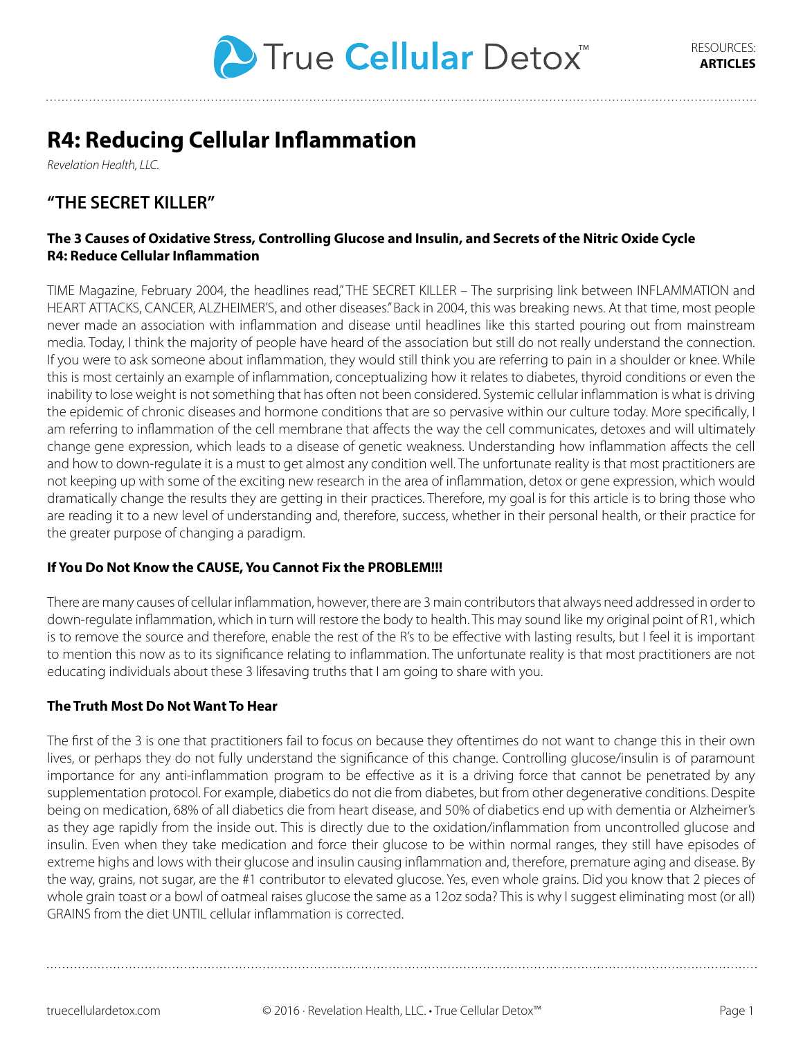

# **R4: Reducing Cellular Inflammation**

*Revelation Health, LLC.*

# **"THE SECRET KILLER"**

## **The 3 Causes of Oxidative Stress, Controlling Glucose and Insulin, and Secrets of the Nitric Oxide Cycle R4: Reduce Cellular Inflammation**

TIME Magazine, February 2004, the headlines read," THE SECRET KILLER – The surprising link between INFLAMMATION and HEART ATTACKS, CANCER, ALZHEIMER'S, and other diseases." Back in 2004, this was breaking news. At that time, most people never made an association with inflammation and disease until headlines like this started pouring out from mainstream media. Today, I think the majority of people have heard of the association but still do not really understand the connection. If you were to ask someone about inflammation, they would still think you are referring to pain in a shoulder or knee. While this is most certainly an example of inflammation, conceptualizing how it relates to diabetes, thyroid conditions or even the inability to lose weight is not something that has often not been considered. Systemic cellular inflammation is what is driving the epidemic of chronic diseases and hormone conditions that are so pervasive within our culture today. More specifically, I am referring to inflammation of the cell membrane that affects the way the cell communicates, detoxes and will ultimately change gene expression, which leads to a disease of genetic weakness. Understanding how inflammation affects the cell and how to down-regulate it is a must to get almost any condition well. The unfortunate reality is that most practitioners are not keeping up with some of the exciting new research in the area of inflammation, detox or gene expression, which would dramatically change the results they are getting in their practices. Therefore, my goal is for this article is to bring those who are reading it to a new level of understanding and, therefore, success, whether in their personal health, or their practice for the greater purpose of changing a paradigm.

# **If You Do Not Know the CAUSE, You Cannot Fix the PROBLEM!!!**

There are many causes of cellular inflammation, however, there are 3 main contributors that always need addressed in order to down-regulate inflammation, which in turn will restore the body to health. This may sound like my original point of R1, which is to remove the source and therefore, enable the rest of the R's to be effective with lasting results, but I feel it is important to mention this now as to its significance relating to inflammation. The unfortunate reality is that most practitioners are not educating individuals about these 3 lifesaving truths that I am going to share with you.

#### **The Truth Most Do Not Want To Hear**

The first of the 3 is one that practitioners fail to focus on because they oftentimes do not want to change this in their own lives, or perhaps they do not fully understand the significance of this change. Controlling glucose/insulin is of paramount importance for any anti-inflammation program to be effective as it is a driving force that cannot be penetrated by any supplementation protocol. For example, diabetics do not die from diabetes, but from other degenerative conditions. Despite being on medication, 68% of all diabetics die from heart disease, and 50% of diabetics end up with dementia or Alzheimer's as they age rapidly from the inside out. This is directly due to the oxidation/inflammation from uncontrolled glucose and insulin. Even when they take medication and force their glucose to be within normal ranges, they still have episodes of extreme highs and lows with their glucose and insulin causing inflammation and, therefore, premature aging and disease. By the way, grains, not sugar, are the #1 contributor to elevated glucose. Yes, even whole grains. Did you know that 2 pieces of whole grain toast or a bowl of oatmeal raises glucose the same as a 12oz soda? This is why I suggest eliminating most (or all) GRAINS from the diet UNTIL cellular inflammation is corrected.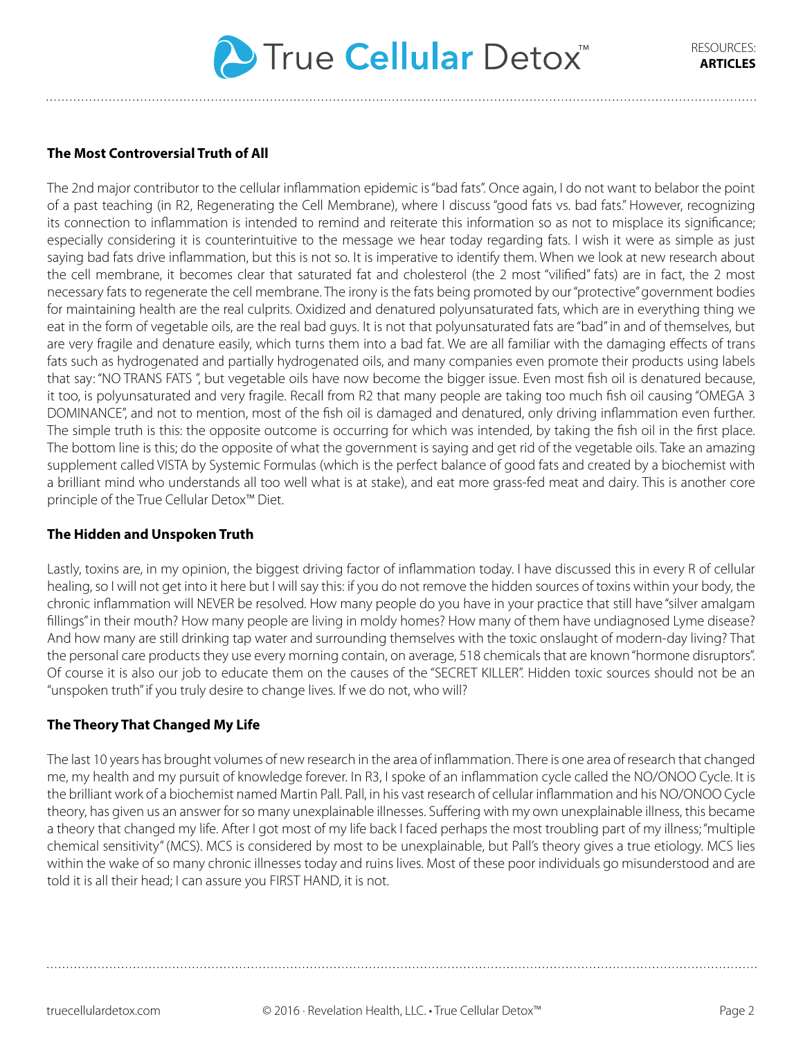

## **The Most Controversial Truth of All**

The 2nd major contributor to the cellular inflammation epidemic is "bad fats". Once again, I do not want to belabor the point of a past teaching (in R2, Regenerating the Cell Membrane), where I discuss "good fats vs. bad fats." However, recognizing its connection to inflammation is intended to remind and reiterate this information so as not to misplace its significance; especially considering it is counterintuitive to the message we hear today regarding fats. I wish it were as simple as just saying bad fats drive inflammation, but this is not so. It is imperative to identify them. When we look at new research about the cell membrane, it becomes clear that saturated fat and cholesterol (the 2 most "vilified" fats) are in fact, the 2 most necessary fats to regenerate the cell membrane. The irony is the fats being promoted by our "protective" government bodies for maintaining health are the real culprits. Oxidized and denatured polyunsaturated fats, which are in everything thing we eat in the form of vegetable oils, are the real bad guys. It is not that polyunsaturated fats are "bad" in and of themselves, but are very fragile and denature easily, which turns them into a bad fat. We are all familiar with the damaging effects of trans fats such as hydrogenated and partially hydrogenated oils, and many companies even promote their products using labels that say: "NO TRANS FATS ", but vegetable oils have now become the bigger issue. Even most fish oil is denatured because, it too, is polyunsaturated and very fragile. Recall from R2 that many people are taking too much fish oil causing "OMEGA 3 DOMINANCE", and not to mention, most of the fish oil is damaged and denatured, only driving inflammation even further. The simple truth is this: the opposite outcome is occurring for which was intended, by taking the fish oil in the first place. The bottom line is this; do the opposite of what the government is saying and get rid of the vegetable oils. Take an amazing supplement called VISTA by Systemic Formulas (which is the perfect balance of good fats and created by a biochemist with a brilliant mind who understands all too well what is at stake), and eat more grass-fed meat and dairy. This is another core principle of the True Cellular Detox™ Diet.

#### **The Hidden and Unspoken Truth**

Lastly, toxins are, in my opinion, the biggest driving factor of inflammation today. I have discussed this in every R of cellular healing, so I will not get into it here but I will say this: if you do not remove the hidden sources of toxins within your body, the chronic inflammation will NEVER be resolved. How many people do you have in your practice that still have "silver amalgam fillings" in their mouth? How many people are living in moldy homes? How many of them have undiagnosed Lyme disease? And how many are still drinking tap water and surrounding themselves with the toxic onslaught of modern-day living? That the personal care products they use every morning contain, on average, 518 chemicals that are known "hormone disruptors". Of course it is also our job to educate them on the causes of the "SECRET KILLER". Hidden toxic sources should not be an "unspoken truth" if you truly desire to change lives. If we do not, who will?

#### **The Theory That Changed My Life**

The last 10 years has brought volumes of new research in the area of inflammation. There is one area of research that changed me, my health and my pursuit of knowledge forever. In R3, I spoke of an inflammation cycle called the NO/ONOO Cycle. It is the brilliant work of a biochemist named Martin Pall. Pall, in his vast research of cellular inflammation and his NO/ONOO Cycle theory, has given us an answer for so many unexplainable illnesses. Suffering with my own unexplainable illness, this became a theory that changed my life. After I got most of my life back I faced perhaps the most troubling part of my illness; "multiple chemical sensitivity" (MCS). MCS is considered by most to be unexplainable, but Pall's theory gives a true etiology. MCS lies within the wake of so many chronic illnesses today and ruins lives. Most of these poor individuals go misunderstood and are told it is all their head; I can assure you FIRST HAND, it is not.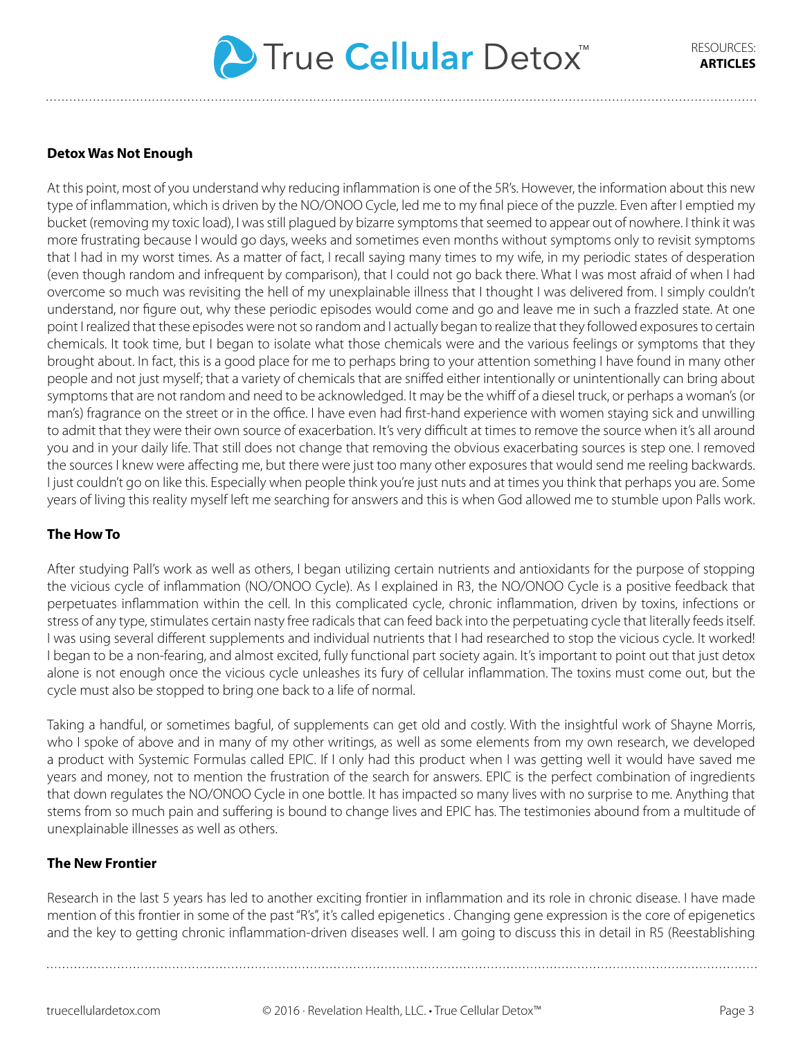

#### **Detox Was Not Enough**

At this point, most of you understand why reducing inflammation is one of the 5R's. However, the information about this new type of inflammation, which is driven by the NO/ONOO Cycle, led me to my final piece of the puzzle. Even after I emptied my bucket (removing my toxic load), I was still plagued by bizarre symptoms that seemed to appear out of nowhere. I think it was more frustrating because I would go days, weeks and sometimes even months without symptoms only to revisit symptoms that I had in my worst times. As a matter of fact, I recall saying many times to my wife, in my periodic states of desperation (even though random and infrequent by comparison), that I could not go back there. What I was most afraid of when I had overcome so much was revisiting the hell of my unexplainable illness that I thought I was delivered from. I simply couldn't understand, nor figure out, why these periodic episodes would come and go and leave me in such a frazzled state. At one point I realized that these episodes were not so random and I actually began to realize that they followed exposures to certain chemicals. It took time, but I began to isolate what those chemicals were and the various feelings or symptoms that they brought about. In fact, this is a good place for me to perhaps bring to your attention something I have found in many other people and not just myself; that a variety of chemicals that are sniffed either intentionally or unintentionally can bring about symptoms that are not random and need to be acknowledged. It may be the whiff of a diesel truck, or perhaps a woman's (or man's) fragrance on the street or in the office. I have even had first-hand experience with women staying sick and unwilling to admit that they were their own source of exacerbation. It's very difficult at times to remove the source when it's all around you and in your daily life. That still does not change that removing the obvious exacerbating sources is step one. I removed the sources I knew were affecting me, but there were just too many other exposures that would send me reeling backwards. I just couldn't go on like this. Especially when people think you're just nuts and at times you think that perhaps you are. Some years of living this reality myself left me searching for answers and this is when God allowed me to stumble upon Palls work.

#### **The How To**

After studying Pall's work as well as others, I began utilizing certain nutrients and antioxidants for the purpose of stopping the vicious cycle of inflammation (NO/ONOO Cycle). As I explained in R3, the NO/ONOO Cycle is a positive feedback that perpetuates inflammation within the cell. In this complicated cycle, chronic inflammation, driven by toxins, infections or stress of any type, stimulates certain nasty free radicals that can feed back into the perpetuating cycle that literally feeds itself. I was using several different supplements and individual nutrients that I had researched to stop the vicious cycle. It worked! I began to be a non-fearing, and almost excited, fully functional part society again. It's important to point out that just detox alone is not enough once the vicious cycle unleashes its fury of cellular inflammation. The toxins must come out, but the cycle must also be stopped to bring one back to a life of normal.

Taking a handful, or sometimes bagful, of supplements can get old and costly. With the insightful work of Shayne Morris, who I spoke of above and in many of my other writings, as well as some elements from my own research, we developed a product with Systemic Formulas called EPIC. If I only had this product when I was getting well it would have saved me years and money, not to mention the frustration of the search for answers. EPIC is the perfect combination of ingredients that down regulates the NO/ONOO Cycle in one bottle. It has impacted so many lives with no surprise to me. Anything that stems from so much pain and suffering is bound to change lives and EPIC has. The testimonies abound from a multitude of unexplainable illnesses as well as others.

#### **The New Frontier**

Research in the last 5 years has led to another exciting frontier in inflammation and its role in chronic disease. I have made mention of this frontier in some of the past "R's", it's called epigenetics . Changing gene expression is the core of epigenetics and the key to getting chronic inflammation-driven diseases well. I am going to discuss this in detail in R5 (Reestablishing